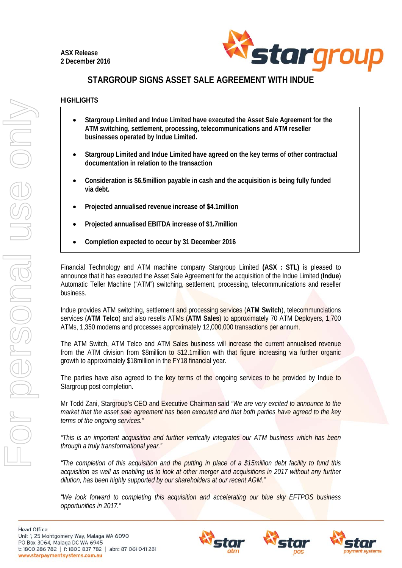

## **STARGROUP SIGNS ASSET SALE AGREEMENT WITH INDUE**

## **HIGHLIGHTS**

- **Stargroup Limited and Indue Limited have executed the Asset Sale Agreement for the ATM switching, settlement, processing, telecommunications and ATM reseller businesses operated by Indue Limited.**
- **Stargroup Limited and Indue Limited have agreed on the key terms of other contractual documentation in relation to the transaction**
- **Consideration is \$6.5million payable in cash and the acquisition is being fully funded via debt.**
- **Projected annualised revenue increase of \$4.1million**
- **Projected annualised EBITDA increase of \$1.7million**
- **Completion expected to occur by 31 December 2016**

Financial Technology and ATM machine company Stargroup Limited **(ASX : STL)** is pleased to announce that it has executed the Asset Sale Agreement for the acquisition of the Indue Limited (**Indue**) Automatic Teller Machine ("ATM") switching, settlement, processing, telecommunications and reseller business.

Indue provides ATM switching, settlement and processing services (**ATM Switch**), telecommunciations services (**ATM Telco**) and also resells ATMs (**ATM Sales**) to approximately 70 ATM Deployers, 1,700 ATMs, 1,350 modems and processes approximately 12,000,000 transactions per annum.

The ATM Switch, ATM Telco and ATM Sales business will increase the current annualised revenue from the ATM division from \$8million to \$12.1million with that figure increasing via further organic growth to approximately \$18million in the FY18 financial year.

The parties have also agreed to the key terms of the ongoing services to be provided by Indue to Stargroup post completion.

Mr Todd Zani, Stargroup's CEO and Executive Chairman said *"We are very excited to announce to the market that the asset sale agreement has been executed and that both parties have agreed to the key terms of the ongoing services."* 

*"This is an important acquisition and further vertically integrates our ATM business which has been through a truly transformational year."* 

*"The completion of this acquisition and the putting in place of a \$15million debt facility to fund this acquisition as well as enabling us to look at other merger and acquisitions in 2017 without any further dilution, has been highly supported by our shareholders at our recent AGM."* 

*"We look forward to completing this acquisition and accelerating our blue sky EFTPOS business opportunities in 2017."*